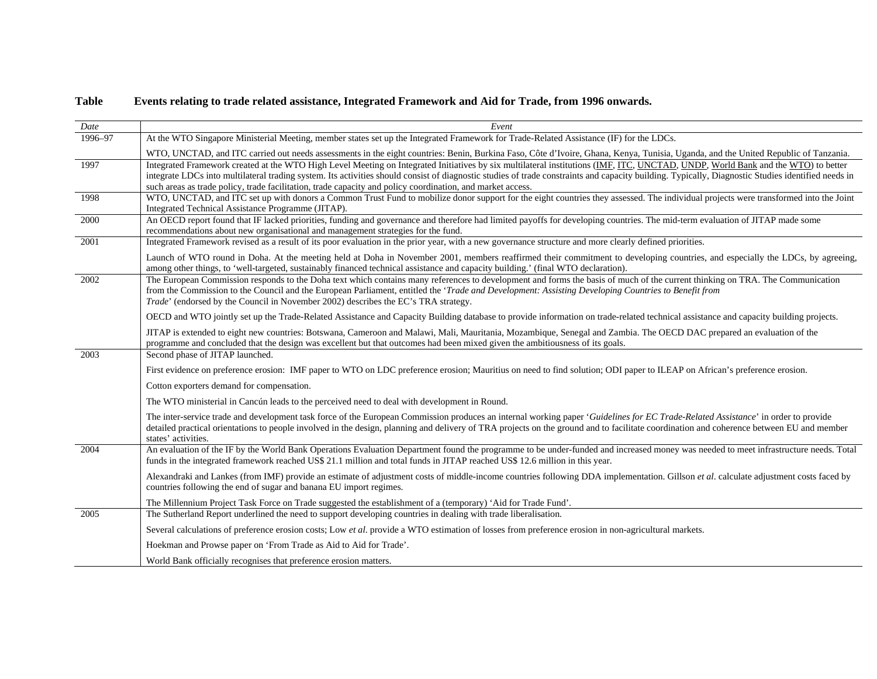## **Table Events relating to trade related assistance, Integrated Framework and Aid for Trade, from 1996 onwards.**

| Date    | Event                                                                                                                                                                                                                                                                                                                                                                                                                                                                                                |
|---------|------------------------------------------------------------------------------------------------------------------------------------------------------------------------------------------------------------------------------------------------------------------------------------------------------------------------------------------------------------------------------------------------------------------------------------------------------------------------------------------------------|
| 1996-97 | At the WTO Singapore Ministerial Meeting, member states set up the Integrated Framework for Trade-Related Assistance (IF) for the LDCs.                                                                                                                                                                                                                                                                                                                                                              |
|         | WTO, UNCTAD, and ITC carried out needs assessments in the eight countries: Benin, Burkina Faso, Côte d'Ivoire, Ghana, Kenya, Tunisia, Uganda, and the United Republic of Tanzania.                                                                                                                                                                                                                                                                                                                   |
| 1997    | Integrated Framework created at the WTO High Level Meeting on Integrated Initiatives by six multilateral institutions (IMF, ITC, UNCTAD, UNDP, World Bank and the WTO) to better<br>integrate LDCs into multilateral trading system. Its activities should consist of diagnostic studies of trade constraints and capacity building. Typically, Diagnostic Studies identified needs in<br>such areas as trade policy, trade facilitation, trade capacity and policy coordination, and market access. |
| 1998    | WTO, UNCTAD, and ITC set up with donors a Common Trust Fund to mobilize donor support for the eight countries they assessed. The individual projects were transformed into the Joint<br>Integrated Technical Assistance Programme (JITAP).                                                                                                                                                                                                                                                           |
| 2000    | An OECD report found that IF lacked priorities, funding and governance and therefore had limited payoffs for developing countries. The mid-term evaluation of JITAP made some<br>recommendations about new organisational and management strategies for the fund.                                                                                                                                                                                                                                    |
| 2001    | Integrated Framework revised as a result of its poor evaluation in the prior year, with a new governance structure and more clearly defined priorities.                                                                                                                                                                                                                                                                                                                                              |
|         | Launch of WTO round in Doha. At the meeting held at Doha in November 2001, members reaffirmed their commitment to developing countries, and especially the LDCs, by agreeing,<br>among other things, to 'well-targeted, sustainably financed technical assistance and capacity building.' (final WTO declaration).                                                                                                                                                                                   |
| 2002    | The European Commission responds to the Doha text which contains many references to development and forms the basis of much of the current thinking on TRA. The Communication<br>from the Commission to the Council and the European Parliament, entitled the 'Trade and Development: Assisting Developing Countries to Benefit from<br>Trade' (endorsed by the Council in November 2002) describes the EC's TRA strategy.                                                                           |
|         | OECD and WTO jointly set up the Trade-Related Assistance and Capacity Building database to provide information on trade-related technical assistance and capacity building projects.                                                                                                                                                                                                                                                                                                                 |
|         | JITAP is extended to eight new countries: Botswana, Cameroon and Malawi, Mali, Mauritania, Mozambique, Senegal and Zambia. The OECD DAC prepared an evaluation of the<br>programme and concluded that the design was excellent but that outcomes had been mixed given the ambitiousness of its goals.                                                                                                                                                                                                |
| 2003    | Second phase of JITAP launched.                                                                                                                                                                                                                                                                                                                                                                                                                                                                      |
|         | First evidence on preference erosion: IMF paper to WTO on LDC preference erosion; Mauritius on need to find solution; ODI paper to ILEAP on African's preference erosion.                                                                                                                                                                                                                                                                                                                            |
|         | Cotton exporters demand for compensation.                                                                                                                                                                                                                                                                                                                                                                                                                                                            |
|         | The WTO ministerial in Cancún leads to the perceived need to deal with development in Round.                                                                                                                                                                                                                                                                                                                                                                                                         |
|         | The inter-service trade and development task force of the European Commission produces an internal working paper 'Guidelines for EC Trade-Related Assistance' in order to provide<br>detailed practical orientations to people involved in the design, planning and delivery of TRA projects on the ground and to facilitate coordination and coherence between EU and member<br>states' activities.                                                                                                 |
| 2004    | An evaluation of the IF by the World Bank Operations Evaluation Department found the programme to be under-funded and increased money was needed to meet infrastructure needs. Total<br>funds in the integrated framework reached US\$ 21.1 million and total funds in JITAP reached US\$ 12.6 million in this year.                                                                                                                                                                                 |
|         | Alexandraki and Lankes (from IMF) provide an estimate of adjustment costs of middle-income countries following DDA implementation. Gillson et al. calculate adjustment costs faced by<br>countries following the end of sugar and banana EU import regimes.                                                                                                                                                                                                                                          |
|         | The Millennium Project Task Force on Trade suggested the establishment of a (temporary) 'Aid for Trade Fund'.                                                                                                                                                                                                                                                                                                                                                                                        |
| 2005    | The Sutherland Report underlined the need to support developing countries in dealing with trade liberalisation.                                                                                                                                                                                                                                                                                                                                                                                      |
|         | Several calculations of preference erosion costs; Low et al. provide a WTO estimation of losses from preference erosion in non-agricultural markets.                                                                                                                                                                                                                                                                                                                                                 |
|         | Hoekman and Prowse paper on 'From Trade as Aid to Aid for Trade'.                                                                                                                                                                                                                                                                                                                                                                                                                                    |
|         | World Bank officially recognises that preference erosion matters.                                                                                                                                                                                                                                                                                                                                                                                                                                    |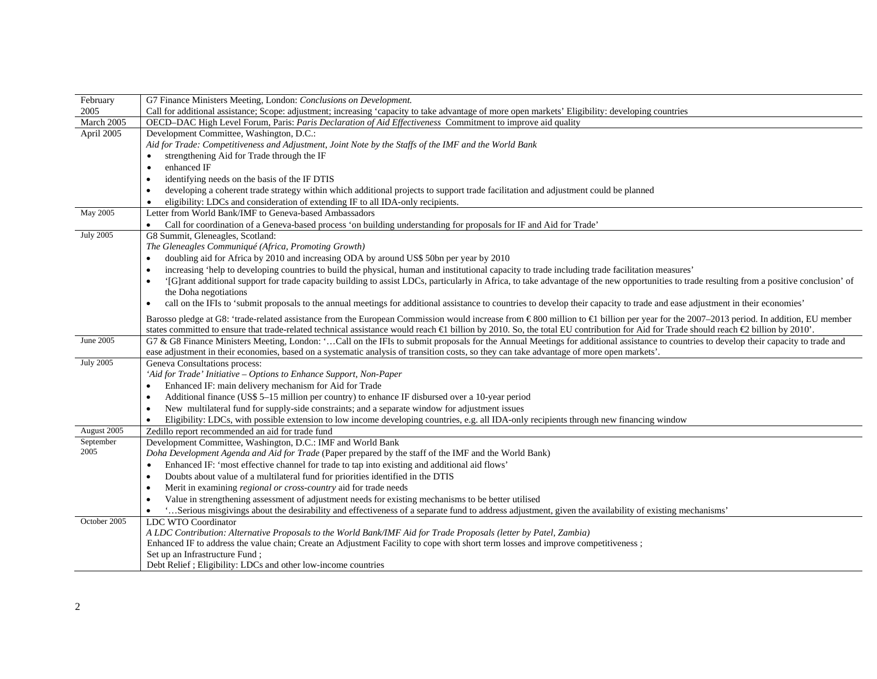| February          | G7 Finance Ministers Meeting, London: Conclusions on Development.                                                                                                                                                                                      |
|-------------------|--------------------------------------------------------------------------------------------------------------------------------------------------------------------------------------------------------------------------------------------------------|
| 2005              | Call for additional assistance; Scope: adjustment; increasing 'capacity to take advantage of more open markets' Eligibility: developing countries                                                                                                      |
| March 2005        | OECD-DAC High Level Forum, Paris: Paris Declaration of Aid Effectiveness Commitment to improve aid quality                                                                                                                                             |
| April 2005        | Development Committee, Washington, D.C.:                                                                                                                                                                                                               |
|                   | Aid for Trade: Competitiveness and Adjustment, Joint Note by the Staffs of the IMF and the World Bank                                                                                                                                                  |
|                   | strengthening Aid for Trade through the IF                                                                                                                                                                                                             |
|                   | enhanced IF                                                                                                                                                                                                                                            |
|                   | identifying needs on the basis of the IF DTIS<br>$\bullet$                                                                                                                                                                                             |
|                   | developing a coherent trade strategy within which additional projects to support trade facilitation and adjustment could be planned                                                                                                                    |
|                   | eligibility: LDCs and consideration of extending IF to all IDA-only recipients.                                                                                                                                                                        |
| May 2005          | Letter from World Bank/IMF to Geneva-based Ambassadors                                                                                                                                                                                                 |
|                   | Call for coordination of a Geneva-based process 'on building understanding for proposals for IF and Aid for Trade'                                                                                                                                     |
| <b>July 2005</b>  | G8 Summit, Gleneagles, Scotland:                                                                                                                                                                                                                       |
|                   | The Gleneagles Communiqué (Africa, Promoting Growth)                                                                                                                                                                                                   |
|                   | doubling aid for Africa by 2010 and increasing ODA by around US\$ 50bn per year by 2010                                                                                                                                                                |
|                   | increasing 'help to developing countries to build the physical, human and institutional capacity to trade including trade facilitation measures'                                                                                                       |
|                   | '[G]rant additional support for trade capacity building to assist LDCs, particularly in Africa, to take advantage of the new opportunities to trade resulting from a positive conclusion' of<br>$\bullet$                                              |
|                   | the Doha negotiations                                                                                                                                                                                                                                  |
|                   | call on the IFIs to 'submit proposals to the annual meetings for additional assistance to countries to develop their capacity to trade and ease adjustment in their economies'<br>$\bullet$                                                            |
|                   | Barosso pledge at G8: 'trade-related assistance from the European Commission would increase from €800 million to € billion per year for the 2007-2013 period. In addition, EU member                                                                   |
|                   | states committed to ensure that trade-related technical assistance would reach $\bigoplus$ billion by 2010. So, the total EU contribution for Aid for Trade should reach $\bigoplus$ billion by 2010'.                                                 |
| June 2005         | G7 & G8 Finance Ministers Meeting, London: 'Call on the IFIs to submit proposals for the Annual Meetings for additional assistance to countries to develop their capacity to trade and                                                                 |
|                   | ease adjustment in their economies, based on a systematic analysis of transition costs, so they can take advantage of more open markets'.                                                                                                              |
| <b>July 2005</b>  | Geneva Consultations process:                                                                                                                                                                                                                          |
|                   | 'Aid for Trade' Initiative - Options to Enhance Support, Non-Paper                                                                                                                                                                                     |
|                   | Enhanced IF: main delivery mechanism for Aid for Trade                                                                                                                                                                                                 |
|                   | Additional finance (US\$ 5-15 million per country) to enhance IF disbursed over a 10-year period<br>$\bullet$                                                                                                                                          |
|                   | New multilateral fund for supply-side constraints; and a separate window for adjustment issues<br>$\bullet$                                                                                                                                            |
|                   | Eligibility: LDCs, with possible extension to low income developing countries, e.g. all IDA-only recipients through new financing window                                                                                                               |
| August 2005       | Zedillo report recommended an aid for trade fund                                                                                                                                                                                                       |
| September<br>2005 | Development Committee, Washington, D.C.: IMF and World Bank                                                                                                                                                                                            |
|                   | Doha Development Agenda and Aid for Trade (Paper prepared by the staff of the IMF and the World Bank)                                                                                                                                                  |
|                   | Enhanced IF: 'most effective channel for trade to tap into existing and additional aid flows'                                                                                                                                                          |
|                   | Doubts about value of a multilateral fund for priorities identified in the DTIS<br>$\bullet$                                                                                                                                                           |
|                   | Merit in examining regional or cross-country aid for trade needs<br>$\bullet$                                                                                                                                                                          |
|                   | Value in strengthening assessment of adjustment needs for existing mechanisms to be better utilised                                                                                                                                                    |
|                   | 'Serious misgivings about the desirability and effectiveness of a separate fund to address adjustment, given the availability of existing mechanisms'                                                                                                  |
| October 2005      | LDC WTO Coordinator                                                                                                                                                                                                                                    |
|                   | A LDC Contribution: Alternative Proposals to the World Bank/IMF Aid for Trade Proposals (letter by Patel, Zambia)<br>Enhanced IF to address the value chain; Create an Adjustment Facility to cope with short term losses and improve competitiveness; |
|                   | Set up an Infrastructure Fund;                                                                                                                                                                                                                         |
|                   | Debt Relief ; Eligibility: LDCs and other low-income countries                                                                                                                                                                                         |
|                   |                                                                                                                                                                                                                                                        |